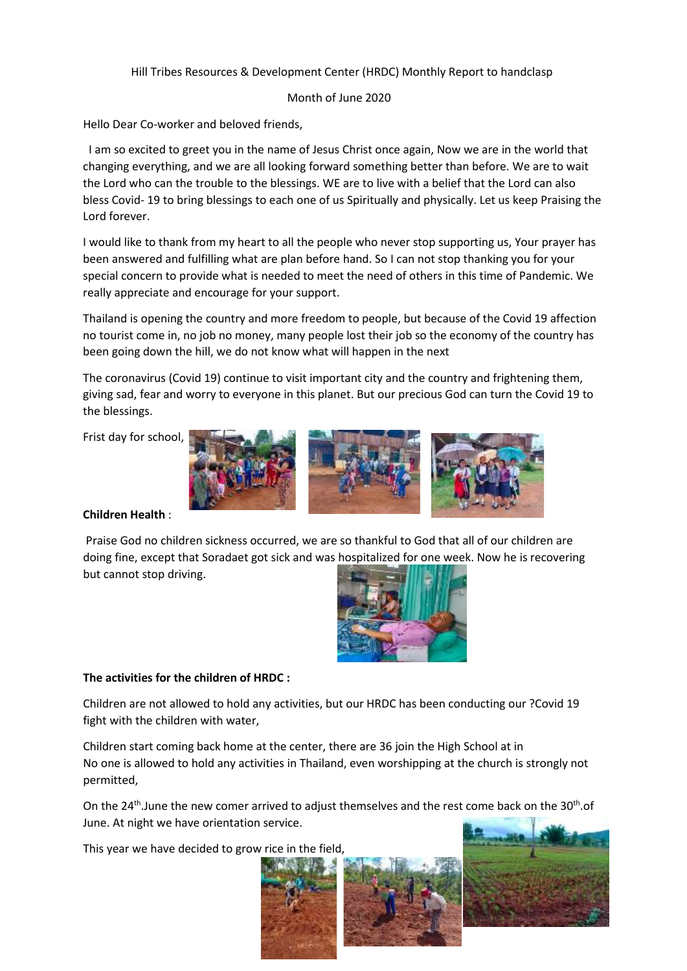## Hill Tribes Resources & Development Center (HRDC) Monthly Report to handclasp

## Month of June 2020

Hello Dear Co-worker and beloved friends,

I am so excited to greet you in the name of Jesus Christ once again, Now we are in the world that changing everything, and we are all looking forward something better than before. We are to wait the Lord who can the trouble to the blessings. WE are to live with a belief that the Lord can also bless Covid- 19 to bring blessings to each one of us Spiritually and physically. Let us keep Praising the Lord forever.

I would like to thank from my heart to all the people who never stop supporting us, Your prayer has been answered and fulfilling what are plan before hand. So I can not stop thanking you for your special concern to provide what is needed to meet the need of others in this time of Pandemic. We really appreciate and encourage for your support.

Thailand is opening the country and more freedom to people, but because of the Covid 19 affection no tourist come in, no job no money, many people lost their job so the economy of the country has been going down the hill, we do not know what will happen in the next

The coronavirus (Covid 19) continue to visit important city and the country and frightening them, giving sad, fear and worry to everyone in this planet. But our precious God can turn the Covid 19 to the blessings.

Frist day for school,



## **Children Health** :

Praise God no children sickness occurred, we are so thankful to God that all of our children are doing fine, except that Soradaet got sick and was hospitalized for one week. Now he is recovering but cannot stop driving.



## **The activities for the children of HRDC :**

Children are not allowed to hold any activities, but our HRDC has been conducting our ?Covid 19 fight with the children with water,

Children start coming back home at the center, there are 36 join the High School at in No one is allowed to hold any activities in Thailand, even worshipping at the church is strongly not permitted,

On the 24<sup>th</sup>.June the new comer arrived to adjust themselves and the rest come back on the 30<sup>th</sup>.of June. At night we have orientation service.

This year we have decided to grow rice in the field,



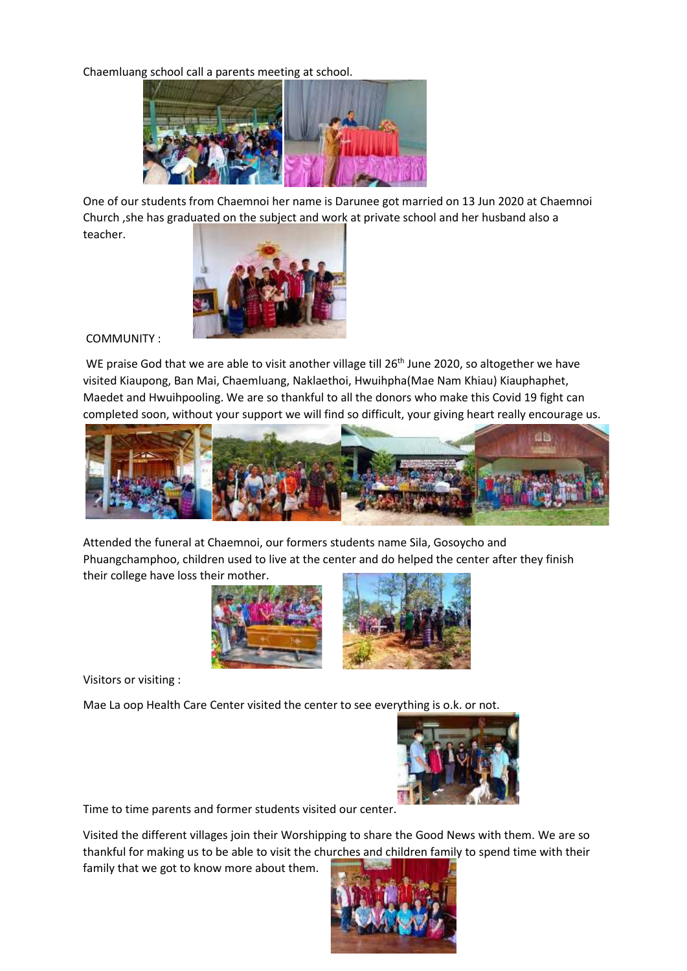Chaemluang school call a parents meeting at school.



One of our students from Chaemnoi her name is Darunee got married on 13 Jun 2020 at Chaemnoi Church ,she has graduated on the subject and work at private school and her husband also a teacher.



COMMUNITY :

WE praise God that we are able to visit another village till 26<sup>th</sup> June 2020, so altogether we have visited Kiaupong, Ban Mai, Chaemluang, Naklaethoi, Hwuihpha(Mae Nam Khiau) Kiauphaphet, Maedet and Hwuihpooling. We are so thankful to all the donors who make this Covid 19 fight can completed soon, without your support we will find so difficult, your giving heart really encourage us.



Attended the funeral at Chaemnoi, our formers students name Sila, Gosoycho and Phuangchamphoo, children used to live at the center and do helped the center after they finish their college have loss their mother.



Visitors or visiting :

Mae La oop Health Care Center visited the center to see everything is o.k. or not.



Time to time parents and former students visited our center.

Visited the different villages join their Worshipping to share the Good News with them. We are so thankful for making us to be able to visit the churches and children family to spend time with their

family that we got to know more about them.